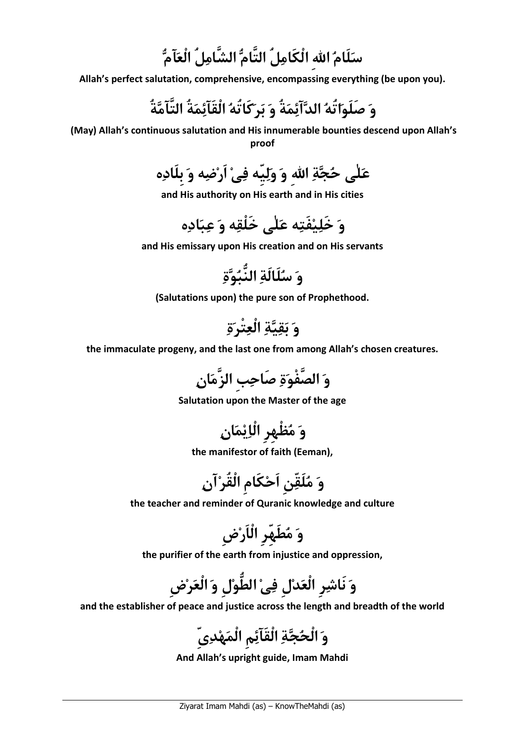سَلَامُ الله الْكَامِلُ التَّامُّ الشَّامِلُ الْعَآمُّ

Allah's perfect salutation, comprehensive, encompassing everything (be upon you).

و صَلَواتُه الدآئمةُ و بركَاتُه الْقَآئمةُ التَّآمةُ

 (May) Allah's continuous salutation and His innumerable bounties descend upon Allah's proof

علٰى حجة االلهِ و وليِّه فى اَرضه و بِلَاده

and His authority on His earth and in His cities

ى خَْلقه و عباده و َخليفَته علٰ

and His emissary upon His creation and on His servants

و سلَالَة النُّبوة

(Salutations upon) the pure son of Prophethood.

و بقية الْعتْرة

the immaculate progeny, and the last one from among Allah's chosen creatures.



Salutation upon the Master of the age

و مظْهِرِ الْايمان

the manifestor of faith (Eeman),

و مَلّقنِ اَح َكامِ الْقُرآن

the teacher and reminder of Quranic knowledge and culture

و مطَهِّرِ الْاَرضِ

the purifier of the earth from injustice and oppression,

و نَاشرِ الْعدلِ فى الطُّولِ و الْعرضِ

and the establisher of peace and justice across the length and breadth of the world

وَ الْحُجَّةِ الْقَآئِمِ الْمَهْدِىِّ

And Allah's upright guide, Imam Mahdi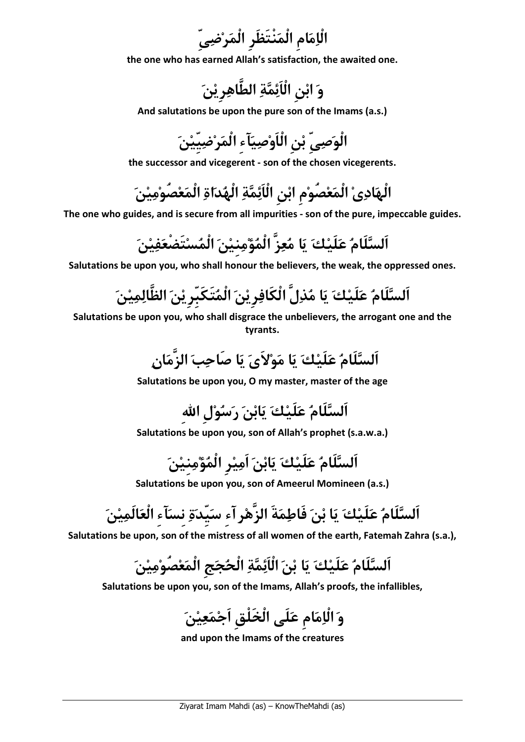اْلامامِ الْمنْتَظَرِ الْمرضىِّ

the one who has earned Allah's satisfaction, the awaited one.

وَ ابْنِ الْائِمَّةِ الطَّاهِرِ يْنَ

And salutations be upon the pure son of the Imams (a.s.)

الْوصىِّ بنِ الْاَوصيآءِ اْلمرضيِّين

the successor and vicegerent - son of the chosen vicegerents.

الْهَادِيْ الْمَعْصُوْمِ ابْنِ اْلْاَئِمَّةِ الْهُدَاةِ الْمَعْصُوْمِيْنَ

The one who guides, and is secure from all impurities - son of the pure, impeccable guides.

السَّلَامُ عَلَيْكَ يَا مُعِزَ الْمُؤْمِنِيْنَ الْمُسْتَضَعَفِيْنَ

Salutations be upon you, who shall honour the believers, the weak, the oppressed ones.

السَّلَامُ عَلَيْكَ يَا مُذِلِ الكافِرِيْنَ المُتكبرِيْنَ الظالِمِيْنَ

Salutations be upon you, who shall disgrace the unbelievers, the arrogant one and the tyrants.

السَّلَامُ عَلَيْكَ يَا مَوْلاِيَ يَا صاحِبَ الزِمَانِ

Salutations be upon you, O my master, master of the age

اَلسلَام علَيك يابن رسولِ االلهِ

Salutations be upon you, son of Allah's prophet (s.a.w.a.)

اَلسلَام علَيك يابن اَميرِ الْمؤمنِين

Salutations be upon you, son of Ameerul Momineen (a.s.)

اَلسَّلَامُ عَلَيْكَ يَا بْنَ فَاطِمَةَ الزُهْرِ أَءِ سَيَدَةِ نِسَاءِ الْعَالَمِيْنَ

Salutations be upon, son of the mistress of all women of the earth, Fatemah Zahra (s.a.),

السَّلَامُ عَلَيْكَ يَا بْنَ الْائِمَّةِ الْحُجَجِ الْمَعْصُوْمِيْنَ

Salutations be upon you, son of the Imams, Allah's proofs, the infallibles,

و اْلامامِ علَى الْخَلْقِ اَجمعين

and upon the Imams of the creatures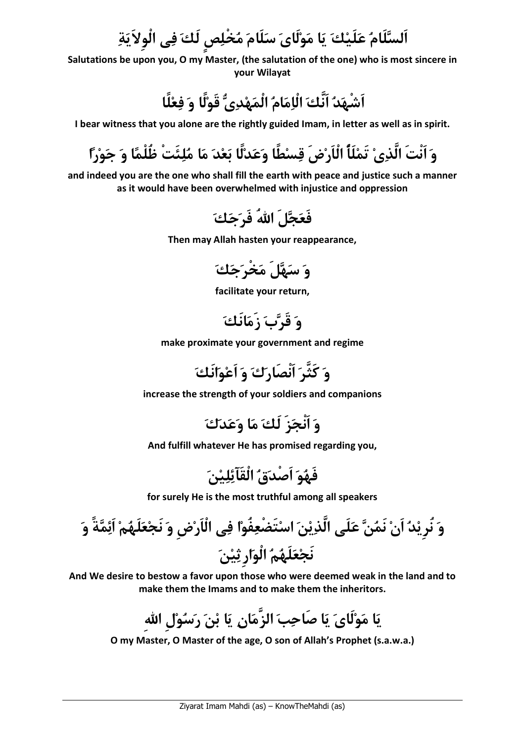اَلسَّلَامُ عَلَيْكَ يَا مَوْلَاىَ سَلَامَ مُخْلِصٍ لَكَ فِى الْوِلاَيَةِ

Salutations be upon you, O my Master, (the salutation of the one) who is most sincere in your Wilayat

اشهَدُ انكَ الْإِمَامُ الْمَهْدِيُّ قَوْلًا وَ فِعْلًا

I bear witness that you alone are the rightly guided Imam, in letter as well as in spirit.

وَ انْتَ الَّذِيْ تَمْلَأُ الْاَرْضَ قِسْطًا وَعَدْلًا بَعْدَ مَا مُلِئَتَ ظَلَمًا وَ جَوْرًا

and indeed you are the one who shall fill the earth with peace and justice such a manner as it would have been overwhelmed with injustice and oppression



Then may Allah hasten your reappearance,

وَ سَهَّلَ مَخْرَجَكَ

facilitate your return,

وَ قَرَّبَ زَمَانَكَ

make proximate your government and regime



increase the strength of your soldiers and companions

و اَنْجزَ لَك ما وعدك

And fulfill whatever He has promised regarding you,

فَهُوَ اَصْدَقُ الْقَآئِلِيْنَ

for surely He is the most truthful among all speakers

ً و ة ذين اسَت ْضعفُوا فى الْاَرضِ و نَجعلَ ه م َائم َّ علَى ال و نُرِيد اَن َنمن نَجعلَهم الْوارِثين

And We desire to bestow a favor upon those who were deemed weak in the land and to make them the Imams and to make them the inheritors.

مان يا بن رسولِ االلهِ َّ يا مولَاى يا صَاحب الز

O my Master, O Master of the age, O son of Allah's Prophet (s.a.w.a.)